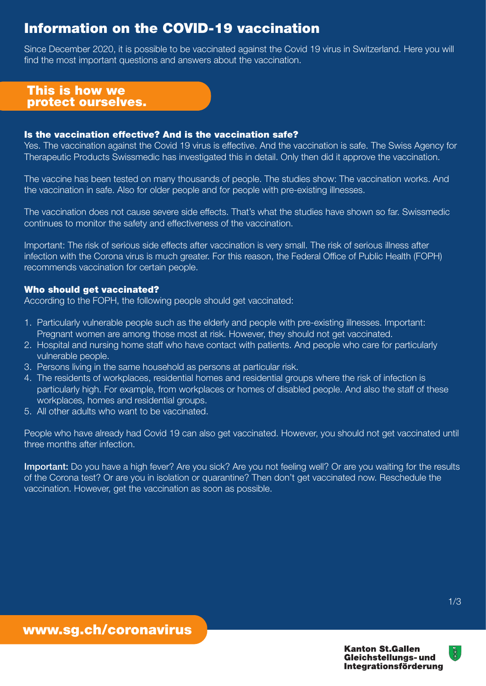## 1/3

# Information on the COVID-19 vaccination

## Is the vaccination effective? And is the vaccination safe?

Yes. The vaccination against the Covid 19 virus is effective. And the vaccination is safe. The Swiss Agency for Therapeutic Products Swissmedic has investigated this in detail. Only then did it approve the vaccination.

The vaccine has been tested on many thousands of people. The studies show: The vaccination works. And the vaccination in safe. Also for older people and for people with pre-existing illnesses.

The vaccination does not cause severe side effects. That's what the studies have shown so far. Swissmedic continues to monitor the safety and effectiveness of the vaccination.

Important: The risk of serious side effects after vaccination is very small. The risk of serious illness after infection with the Corona virus is much greater. For this reason, the Federal Office of Public Health (FOPH) recommends vaccination for certain people.

## Who should get vaccinated?

According to the FOPH, the following people should get vaccinated:

Important: Do you have a high fever? Are you sick? Are you not feeling well? Or are you waiting for the results of the Corona test? Or are you in isolation or quarantine? Then don't get vaccinated now. Reschedule the vaccination. However, get the vaccination as soon as possible.

- 1. Particularly vulnerable people such as the elderly and people with pre-existing illnesses. Important: Pregnant women are among those most at risk. However, they should not get vaccinated.
- 2. Hospital and nursing home staff who have contact with patients. And people who care for particularly vulnerable people.
- 3. Persons living in the same household as persons at particular risk.
- 4. The residents of workplaces, residential homes and residential groups where the risk of infection is particularly high. For example, from workplaces or homes of disabled people. And also the staff of these workplaces, homes and residential groups.
- 5. All other adults who want to be vaccinated.

People who have already had Covid 19 can also get vaccinated. However, you should not get vaccinated until three months after infection.

## www.sg.ch/coronavirus

**Kanton St.Gallen Gleichstellungs-und Integrationsförderung** 



## This is how we protect ourselves.

Since December 2020, it is possible to be vaccinated against the Covid 19 virus in Switzerland. Here you will find the most important questions and answers about the vaccination.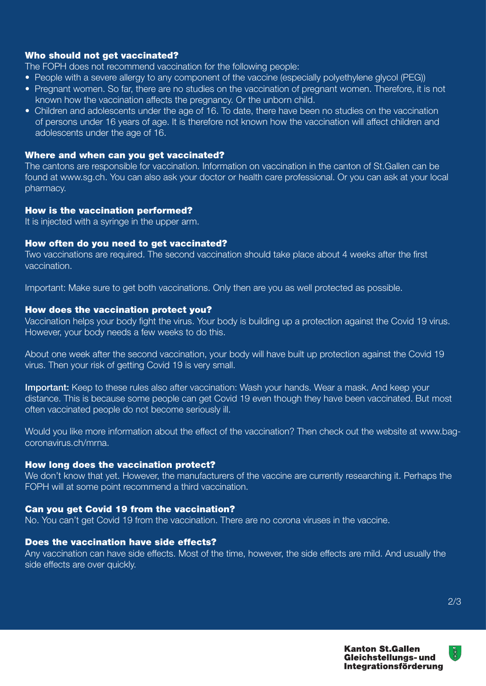$\mathbb{R}^n$ 

**Kanton St.Gallen Gleichstellungs- und** Integrationsförderung

#### Who should not get vaccinated?

The FOPH does not recommend vaccination for the following people:

- People with a severe allergy to any component of the vaccine (especially polyethylene glycol (PEG))
- Pregnant women. So far, there are no studies on the vaccination of pregnant women. Therefore, it is not known how the vaccination affects the pregnancy. Or the unborn child.
- Children and adolescents under the age of 16. To date, there have been no studies on the vaccination of persons under 16 years of age. It is therefore not known how the vaccination will affect children and adolescents under the age of 16.

## Where and when can you get vaccinated?

The cantons are responsible for vaccination. Information on vaccination in the canton of St.Gallen can be found at www.sg.ch. You can also ask your doctor or health care professional. Or you can ask at your local pharmacy.

#### How is the vaccination performed?

It is injected with a syringe in the upper arm.

Important: Keep to these rules also after vaccination: Wash your hands. Wear a mask. And keep your distance. This is because some people can get Covid 19 even though they have been vaccinated. But most often vaccinated people do not become seriously ill.

#### How often do you need to get vaccinated?

Two vaccinations are required. The second vaccination should take place about 4 weeks after the first vaccination.

We don't know that yet. However, the manufacturers of the vaccine are currently researching it. Perhaps the FOPH will at some point recommend a third vaccination.

Important: Make sure to get both vaccinations. Only then are you as well protected as possible.

#### How does the vaccination protect you?

Vaccination helps your body fight the virus. Your body is building up a protection against the Covid 19 virus. However, your body needs a few weeks to do this.

About one week after the second vaccination, your body will have built up protection against the Covid 19 virus. Then your risk of getting Covid 19 is very small.

Would you like more information about the effect of the vaccination? Then check out the website at www.bagcoronavirus.ch/mrna.

#### How long does the vaccination protect?

## Can you get Covid 19 from the vaccination?

No. You can't get Covid 19 from the vaccination. There are no corona viruses in the vaccine.

#### Does the vaccination have side effects?

Any vaccination can have side effects. Most of the time, however, the side effects are mild. And usually the side effects are over quickly.